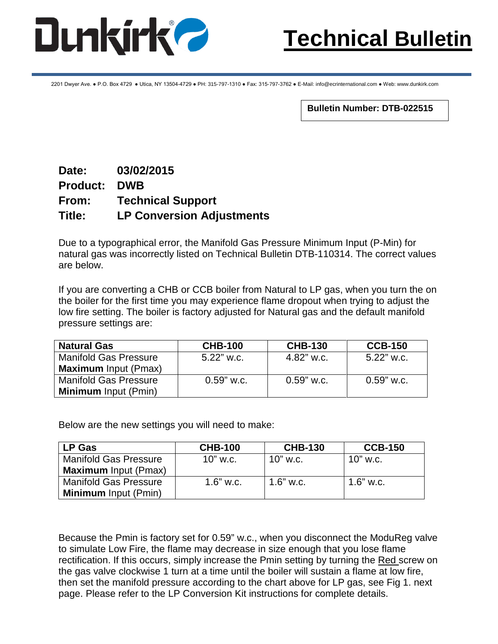

2201 Dwyer Ave. ● P.O. Box 4729 ● Utica, NY 13504-4729 ● PH: 315-797-1310 ● Fax: 315-797-3762 ● E-Mail: info@ecrinternational.com ● Web: www.dunkirk.com

**Bulletin Number: DTB-022515**

## **Date: 03/02/2015 Product: DWB From: Technical Support Title: LP Conversion Adjustments**

Due to a typographical error, the Manifold Gas Pressure Minimum Input (P-Min) for natural gas was incorrectly listed on Technical Bulletin DTB-110314. The correct values are below.

If you are converting a CHB or CCB boiler from Natural to LP gas, when you turn the on the boiler for the first time you may experience flame dropout when trying to adjust the low fire setting. The boiler is factory adjusted for Natural gas and the default manifold pressure settings are:

| <b>Natural Gas</b>           | <b>CHB-100</b> | <b>CHB-130</b> | <b>CCB-150</b> |
|------------------------------|----------------|----------------|----------------|
| <b>Manifold Gas Pressure</b> | $5.22$ " w.c.  | 4.82" w.c.     | $5.22$ " w.c.  |
| <b>Maximum</b> Input (Pmax)  |                |                |                |
| <b>Manifold Gas Pressure</b> | $0.59$ " w.c.  | $0.59$ " w.c.  | $0.59$ " w.c.  |
| <b>Minimum</b> Input (Pmin)  |                |                |                |

Below are the new settings you will need to make:

| <b>LP Gas</b>                | <b>CHB-100</b> | <b>CHB-130</b> | <b>CCB-150</b> |
|------------------------------|----------------|----------------|----------------|
| <b>Manifold Gas Pressure</b> | $10"$ w.c.     | $10"$ w.c.     | $10"$ w.c.     |
| <b>Maximum</b> Input (Pmax)  |                |                |                |
| <b>Manifold Gas Pressure</b> | $1.6"$ w.c.    | $1.6"$ w.c.    | $1.6"$ w.c.    |
| <b>Minimum</b> Input (Pmin)  |                |                |                |

Because the Pmin is factory set for 0.59" w.c., when you disconnect the ModuReg valve to simulate Low Fire, the flame may decrease in size enough that you lose flame rectification. If this occurs, simply increase the Pmin setting by turning the Red screw on the gas valve clockwise 1 turn at a time until the boiler will sustain a flame at low fire, then set the manifold pressure according to the chart above for LP gas, see Fig 1. next page. Please refer to the LP Conversion Kit instructions for complete details.